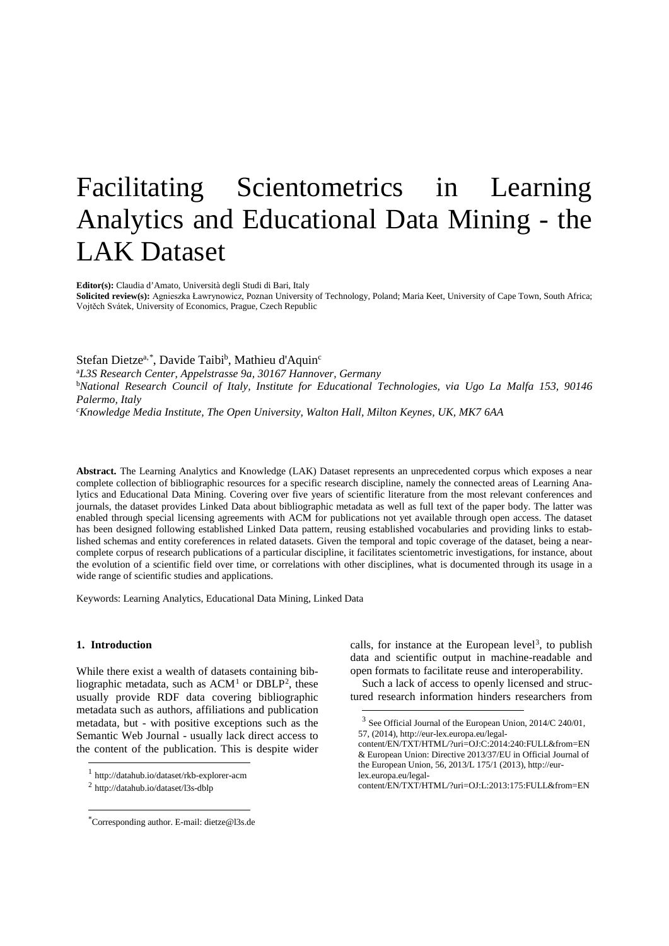# Facilitating Scientometrics in Learning Analytics and Educational Data Mining - the LAK Dataset

**Editor(s):** Claudia d'Amato, Università degli Studi di Bari, Italy **Solicited review(s):** Agnieszka Ławrynowicz, Poznan University of Technology, Poland; Maria Keet, University of Cape Town, South Africa; Vojtěch Svátek, University of Economics, Prague, Czech Republic

Stefan Dietze<sup>a,[\\*](#page-0-0)</sup>, Davide Taibi<sup>b</sup>, Mathieu d'Aquin<sup>c</sup>

a *L3S Research Center, Appelstrasse 9a, 30167 Hannover, Germany* b *National Research Council of Italy, Institute for Educational Technologies, via Ugo La Malfa 153, 90146 Palermo, Italy*

*c Knowledge Media Institute, The Open University, Walton Hall, Milton Keynes, UK, MK7 6AA*

**Abstract.** The Learning Analytics and Knowledge (LAK) Dataset represents an unprecedented corpus which exposes a near complete collection of bibliographic resources for a specific research discipline, namely the connected areas of Learning Analytics and Educational Data Mining. Covering over five years of scientific literature from the most relevant conferences and journals, the dataset provides Linked Data about bibliographic metadata as well as full text of the paper body. The latter was enabled through special licensing agreements with ACM for publications not yet available through open access. The dataset has been designed following established Linked Data pattern, reusing established vocabularies and providing links to established schemas and entity coreferences in related datasets. Given the temporal and topic coverage of the dataset, being a nearcomplete corpus of research publications of a particular discipline, it facilitates scientometric investigations, for instance, about the evolution of a scientific field over time, or correlations with other disciplines, what is documented through its usage in a wide range of scientific studies and applications.

<span id="page-0-5"></span>1

Keywords: Learning Analytics, Educational Data Mining, Linked Data

# <span id="page-0-4"></span>**1. Introduction**

-

j

<span id="page-0-3"></span>While there exist a wealth of datasets containing bibliographic metadata, such as  $ACM<sup>1</sup>$  $ACM<sup>1</sup>$  $ACM<sup>1</sup>$  or  $DBLP<sup>2</sup>$  $DBLP<sup>2</sup>$  $DBLP<sup>2</sup>$ , these usually provide RDF data covering bibliographic metadata such as authors, affiliations and publication metadata, but - with positive exceptions such as the Semantic Web Journal - usually lack direct access to the content of the publication. This is despite wider

calls, for instance at the European level<sup>[3](#page-0-3)</sup>, to publish data and scientific output in machine-readable and open formats to facilitate reuse and interoperability.

Such a lack of access to openly licensed and structured research information hinders researchers from

<span id="page-0-1"></span><sup>1</sup> http://datahub.io/dataset/rkb-explorer-acm

<span id="page-0-2"></span><sup>2</sup> http://datahub.io/dataset/l3s-dblp

<sup>3</sup> See Official Journal of the European Union, 2014/C 240/01, 57, (2014), http://eur-lex.europa.eu/legal-

content/EN/TXT/HTML/?uri=OJ:C:2014:240:FULL&from=EN & European Union: Directive 2013/37/EU in Official Journal of the European Union, 56, 2013/L 175/1 (2013), http://eurlex.europa.eu/legal-

content/EN/TXT/HTML/?uri=OJ:L:2013:175:FULL&from=EN

<span id="page-0-0"></span><sup>\*</sup> Corresponding author. E-mail: dietze@l3s.de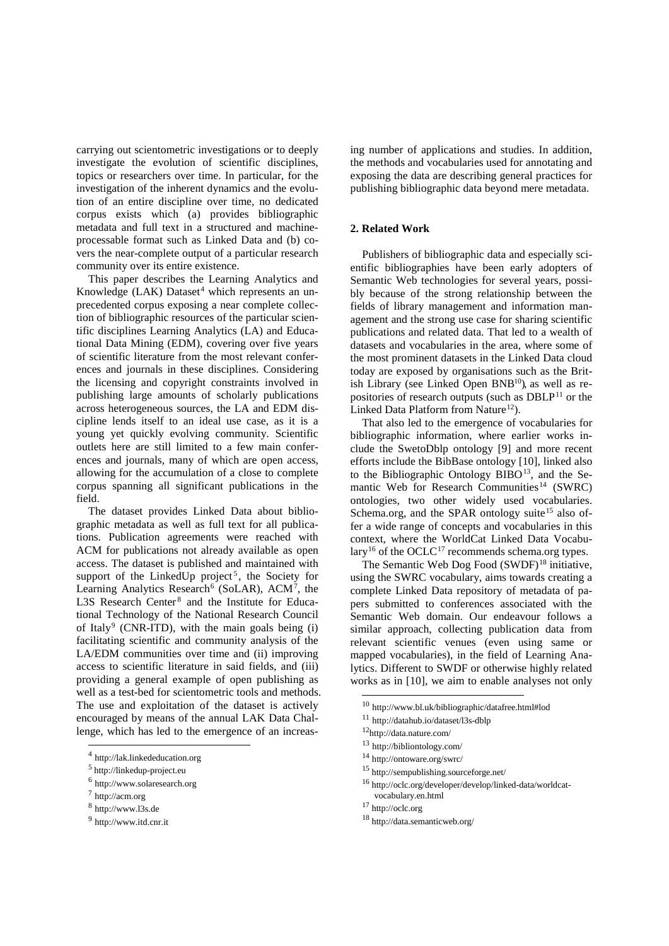carrying out scientometric investigations or to deeply investigate the evolution of scientific disciplines, topics or researchers over time. In particular, for the investigation of the inherent dynamics and the evolution of an entire discipline over time, no dedicated corpus exists which (a) provides bibliographic metadata and full text in a structured and machineprocessable format such as Linked Data and (b) covers the near-complete output of a particular research community over its entire existence.

This paper describes the Learning Analytics and Knowledge (LAK) Dataset<sup>[4](#page-1-0)</sup> which represents an unprecedented corpus exposing a near complete collection of bibliographic resources of the particular scientific disciplines Learning Analytics (LA) and Educational Data Mining (EDM), covering over five years of scientific literature from the most relevant conferences and journals in these disciplines. Considering the licensing and copyright constraints involved in publishing large amounts of scholarly publications across heterogeneous sources, the LA and EDM discipline lends itself to an ideal use case, as it is a young yet quickly evolving community. Scientific outlets here are still limited to a few main conferences and journals, many of which are open access, allowing for the accumulation of a close to complete corpus spanning all significant publications in the field.

The dataset provides Linked Data about bibliographic metadata as well as full text for all publications. Publication agreements were reached with ACM for publications not already available as open access. The dataset is published and maintained with support of the LinkedUp project<sup>[5](#page-1-1)</sup>, the Society for Learning Analytics Research<sup>[6](#page-1-2)</sup> (SoLAR), ACM<sup>[7](#page-1-3)</sup>, the L3S Research Center<sup>[8](#page-1-4)</sup> and the Institute for Educational Technology of the National Research Council of Italy<sup>[9](#page-1-5)</sup> (CNR-ITD), with the main goals being  $(i)$ facilitating scientific and community analysis of the LA/EDM communities over time and (ii) improving access to scientific literature in said fields, and (iii) providing a general example of open publishing as well as a test-bed for scientometric tools and methods. The use and exploitation of the dataset is actively encouraged by means of the annual LAK Data Challenge, which has led to the emergence of an increas-

<span id="page-1-8"></span><span id="page-1-7"></span><span id="page-1-6"></span>j

ing number of applications and studies. In addition, the methods and vocabularies used for annotating and exposing the data are describing general practices for publishing bibliographic data beyond mere metadata.

# <span id="page-1-14"></span>**2. Related Work**

Publishers of bibliographic data and especially scientific bibliographies have been early adopters of Semantic Web technologies for several years, possibly because of the strong relationship between the fields of library management and information management and the strong use case for sharing scientific publications and related data. That led to a wealth of datasets and vocabularies in the area, where some of the most prominent datasets in the Linked Data cloud today are exposed by organisations such as the British Library (see Linked Open  $BNB^{10}$ ), as well as re-positories of research outputs (such as DBLP<sup>[11](#page-1-7)</sup> or the Linked Data Platform from Nature<sup>12</sup>).

That also led to the emergence of vocabularies for bibliographic information, where earlier works include the SwetoDblp ontology [\[9\]](#page-8-0) and more recent efforts include the BibBase ontology [\[10\],](#page-8-1) linked also to the Bibliographic Ontology BIBO<sup>[13](#page-1-9)</sup>, and the Se-mantic Web for Research Communities<sup>[14](#page-1-10)</sup> (SWRC) ontologies, two other widely used vocabularies. Schema.org, and the SPAR ontology suite<sup>[15](#page-1-11)</sup> also offer a wide range of concepts and vocabularies in this context, where the WorldCat Linked Data Vocabu-lary<sup>[16](#page-1-12)</sup> of the OCLC<sup>[17](#page-1-4)</sup> recommends schema.org types.

The Semantic Web Dog Food (SWDF)<sup>[18](#page-1-13)</sup> initiative, using the SWRC vocabulary, aims towards creating a complete Linked Data repository of metadata of papers submitted to conferences associated with the Semantic Web domain. Our endeavour follows a similar approach, collecting publication data from relevant scientific venues (even using same or mapped vocabularies), in the field of Learning Analytics. Different to SWDF or otherwise highly related works as in [\[10\],](#page-8-1) we aim to enable analyses not only

- 
- <sup>15</sup> http://sempublishing.sourceforge.net/
- $^{16}$ http://oclc.org/developer/develop/linked-data/worldcatvocabulary.en.html

**.** 

<sup>18</sup> http://data.semanticweb.org/

<span id="page-1-10"></span><span id="page-1-9"></span><span id="page-1-0"></span><sup>4</sup> http://lak.linkededucation.org

<span id="page-1-11"></span><span id="page-1-1"></span><sup>5</sup> http://linkedup-project.eu

<span id="page-1-12"></span><span id="page-1-2"></span><sup>6</sup> http://www.solaresearch.org

<span id="page-1-3"></span><sup>7</sup> http://acm.org

<span id="page-1-4"></span><sup>8</sup> http://www.l3s.de

<span id="page-1-13"></span><span id="page-1-5"></span><sup>9</sup> http://www.itd.cnr.it

<sup>10</sup> http://www.bl.uk/bibliographic/datafree.html#lod

<sup>11</sup> http://datahub.io/dataset/l3s-dblp

<sup>12</sup>http://data.nature.com/

<sup>13</sup> http://bibliontology.com/

<sup>14</sup> http://ontoware.org/swrc/

<sup>17</sup> http://oclc.org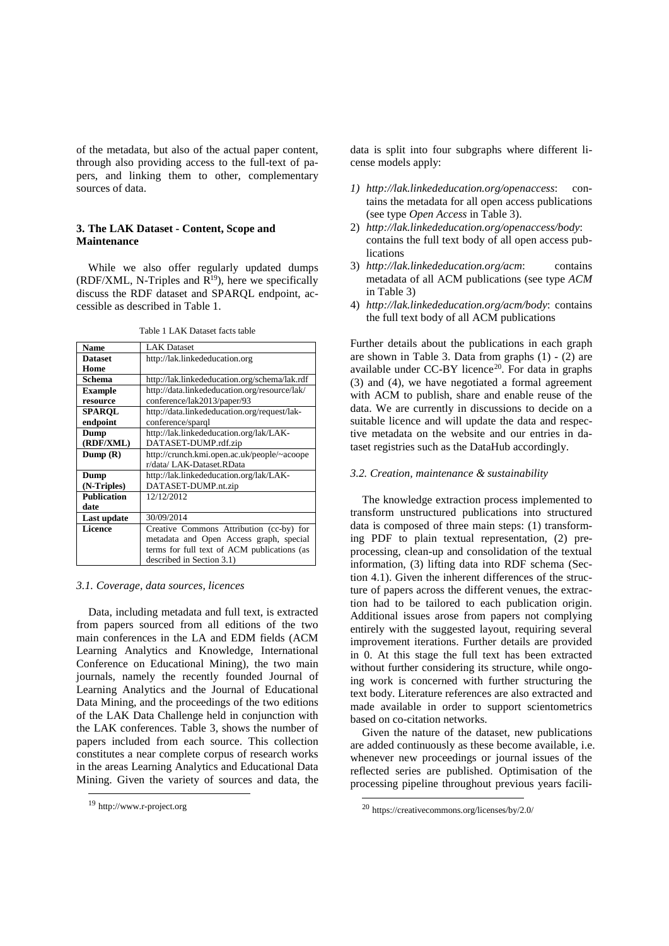of the metadata, but also of the actual paper content, through also providing access to the full-text of papers, and linking them to other, complementary sources of data.

# **3. The LAK Dataset - Content, Scope and Maintenance**

While we also offer regularly updated dumps (RDF/XML, N-Triples and  $R^{19}$ ), here we specifically discuss the RDF dataset and SPARQL endpoint, accessible as described in Table 1.

| <b>Name</b>        | <b>LAK</b> Dataset                            |  |  |  |  |
|--------------------|-----------------------------------------------|--|--|--|--|
| <b>Dataset</b>     | http://lak.linkededucation.org                |  |  |  |  |
| Home               |                                               |  |  |  |  |
| Schema             | http://lak.linkededucation.org/schema/lak.rdf |  |  |  |  |
| <b>Example</b>     | http://data.linkededucation.org/resource/lak/ |  |  |  |  |
| resource           | conference/lak2013/paper/93                   |  |  |  |  |
| <b>SPAROL</b>      | http://data.linkededucation.org/request/lak-  |  |  |  |  |
| endpoint           | conference/sparql                             |  |  |  |  |
| Dump               | http://lak.linkededucation.org/lak/LAK-       |  |  |  |  |
| (RDF/XML)          | DATASET-DUMP.rdf.zip                          |  |  |  |  |
| Dump(R)            | http://crunch.kmi.open.ac.uk/people/~acoope   |  |  |  |  |
|                    | r/data/ LAK-Dataset.RData                     |  |  |  |  |
| Dump               | http://lak.linkededucation.org/lak/LAK-       |  |  |  |  |
| (N-Triples)        | DATASET-DUMP.nt.zip                           |  |  |  |  |
| <b>Publication</b> | 12/12/2012                                    |  |  |  |  |
| date               |                                               |  |  |  |  |
| Last update        | 30/09/2014                                    |  |  |  |  |
| Licence            | Creative Commons Attribution (cc-by) for      |  |  |  |  |
|                    | metadata and Open Access graph, special       |  |  |  |  |
|                    | terms for full text of ACM publications (as   |  |  |  |  |
|                    | described in Section 3.1)                     |  |  |  |  |

Table 1 LAK Dataset facts table

## <span id="page-2-0"></span>*3.1. Coverage, data sources, licences*

Data, including metadata and full text, is extracted from papers sourced from all editions of the two main conferences in the LA and EDM fields (ACM Learning Analytics and Knowledge, International Conference on Educational Mining), the two main journals, namely the recently founded Journal of Learning Analytics and the Journal of Educational Data Mining, and the proceedings of the two editions of the LAK Data Challenge held in conjunction with the LAK conferences. Table 3, shows the number of papers included from each source. This collection constitutes a near complete corpus of research works in the areas Learning Analytics and Educational Data Mining. Given the variety of sources and data, the

-

data is split into four subgraphs where different license models apply:

- *1) http://lak.linkededucation.org/openaccess*: contains the metadata for all open access publications (see type *Open Access* in Table 3).
- 2) *http://lak.linkededucation.org/openaccess/body*: contains the full text body of all open access publications
- 3) *http://lak.linkededucation.org/acm*: contains metadata of all ACM publications (see type *ACM* in Table 3)
- 4) *http://lak.linkededucation.org/acm/body*: contains the full text body of all ACM publications

Further details about the publications in each graph are shown in Table 3. Data from graphs (1) - (2) are available under  $CC-BY$  licence<sup>20</sup>. For data in graphs (3) and (4), we have negotiated a formal agreement with ACM to publish, share and enable reuse of the data. We are currently in discussions to decide on a suitable licence and will update the data and respective metadata on the website and our entries in dataset registries such as the DataHub accordingly.

## *3.2. Creation, maintenance & sustainability*

The knowledge extraction process implemented to transform unstructured publications into structured data is composed of three main steps: (1) transforming PDF to plain textual representation, (2) preprocessing, clean-up and consolidation of the textual information, (3) lifting data into RDF schema (Section [4.1\)](#page-3-0). Given the inherent differences of the structure of papers across the different venues, the extraction had to be tailored to each publication origin. Additional issues arose from papers not complying entirely with the suggested layout, requiring several improvement iterations. Further details are provided in [0.](#page-8-2) At this stage the full text has been extracted without further considering its structure, while ongoing work is concerned with further structuring the text body. Literature references are also extracted and made available in order to support scientometrics based on co-citation networks.

Given the nature of the dataset, new publications are added continuously as these become available, i.e. whenever new proceedings or journal issues of the reflected series are published. Optimisation of the processing pipeline throughout previous years facili-

<span id="page-2-2"></span><span id="page-2-1"></span><sup>&</sup>lt;sup>19</sup> http://www.r-project.org

<sup>20</sup> https://creativecommons.org/licenses/by/2.0/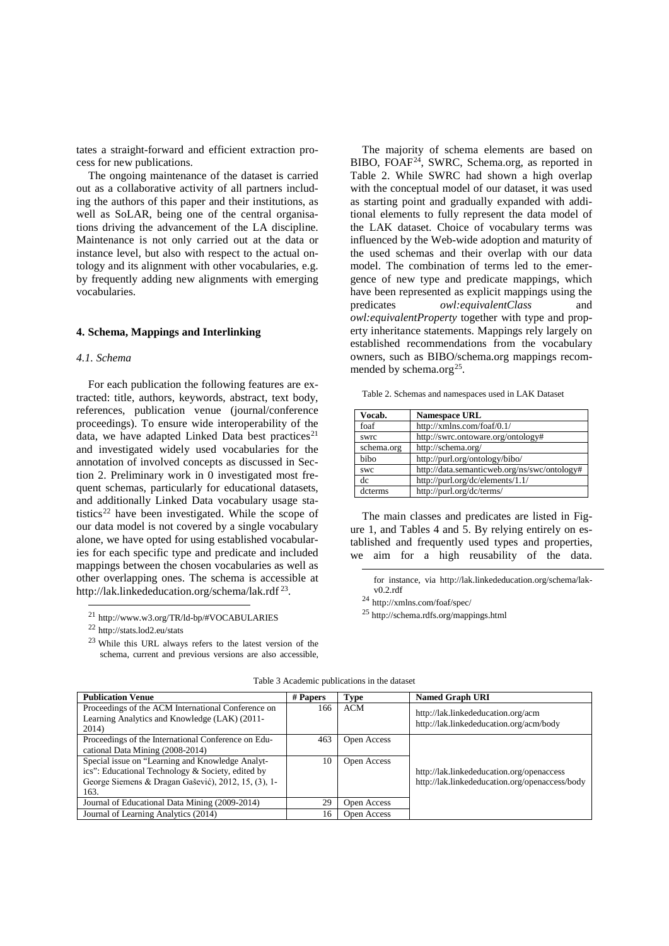tates a straight-forward and efficient extraction process for new publications.

The ongoing maintenance of the dataset is carried out as a collaborative activity of all partners including the authors of this paper and their institutions, as well as SoLAR, being one of the central organisations driving the advancement of the LA discipline. Maintenance is not only carried out at the data or instance level, but also with respect to the actual ontology and its alignment with other vocabularies, e.g. by frequently adding new alignments with emerging vocabularies.

# **4. Schema, Mappings and Interlinking**

#### <span id="page-3-0"></span>*4.1. Schema*

For each publication the following features are extracted: title, authors, keywords, abstract, text body, references, publication venue (journal/conference proceedings). To ensure wide interoperability of the data, we have adapted Linked Data best practices<sup>[21](#page-3-1)</sup> and investigated widely used vocabularies for the annotation of involved concepts as discussed in Section [2.](#page-1-14) Preliminary work in [0](#page-8-3) investigated most frequent schemas, particularly for educational datasets, and additionally Linked Data vocabulary usage sta-tistics<sup>[22](#page-3-2)</sup> have been investigated. While the scope of our data model is not covered by a single vocabulary alone, we have opted for using established vocabularies for each specific type and predicate and included mappings between the chosen vocabularies as well as other overlapping ones. The schema is accessible at http://lak.linkededucation.org/schema/lak.rdf [23](#page-3-3).

<span id="page-3-5"></span><sup>21</sup> http://www.w3.org/TR/ld-bp/#VOCABULARIES

<span id="page-3-4"></span>-

<span id="page-3-3"></span><sup>23</sup> While this URL always refers to the latest version of the schema, current and previous versions are also accessible,

The majority of schema elements are based on BIBO, FOAF[24,](#page-3-4) SWRC, Schema.org, as reported in Table 2. While SWRC had shown a high overlap with the conceptual model of our dataset, it was used as starting point and gradually expanded with additional elements to fully represent the data model of the LAK dataset. Choice of vocabulary terms was influenced by the Web-wide adoption and maturity of the used schemas and their overlap with our data model. The combination of terms led to the emergence of new type and predicate mappings, which have been represented as explicit mappings using the<br>predicates owl:equivalentClass and predicates *owl:equivalentClass* and *owl:equivalentProperty* together with type and property inheritance statements. Mappings rely largely on established recommendations from the vocabulary owners, such as BIBO/schema.org mappings recommended by schema.org $^{25}$  $^{25}$  $^{25}$ .

Table 2. Schemas and namespaces used in LAK Dataset

| Vocab.      | <b>Namespace URL</b>                         |
|-------------|----------------------------------------------|
| foaf        | http://xmlns.com/foaf/0.1/                   |
| swrc        | http://swrc.ontoware.org/ontology#           |
| schema.org  | http://schema.org/                           |
| <b>bibo</b> | http://purl.org/ontology/bibo/               |
| swc         | http://data.semanticweb.org/ns/swc/ontology# |
| dc          | http://purl.org/dc/elements/1.1/             |
| dcterms     | http://purl.org/dc/terms/                    |

The main classes and predicates are listed in Figure 1, and Tables 4 and 5. By relying entirely on established and frequently used types and properties, we aim for a high reusability of the data.

for instance, via http://lak.linkededucation.org/schema/lakv0.2.rdf

<sup>25</sup> http://schema.rdfs.org/mappings.html

| <b>Publication Venue</b>                                                                            | # Papers | <b>Type</b> | <b>Named Graph URI</b>                         |
|-----------------------------------------------------------------------------------------------------|----------|-------------|------------------------------------------------|
| Proceedings of the ACM International Conference on<br>Learning Analytics and Knowledge (LAK) (2011- | 166      | ACM         | http://lak.linkededucation.org/acm             |
| 2014)                                                                                               |          |             | http://lak.linkededucation.org/acm/body        |
| Proceedings of the International Conference on Edu-                                                 | 463      | Open Access |                                                |
| cational Data Mining (2008-2014)                                                                    |          |             |                                                |
| Special issue on "Learning and Knowledge Analyt-                                                    | 10       | Open Access |                                                |
| ics": Educational Technology & Society, edited by                                                   |          |             | http://lak.linkededucation.org/openaccess      |
| George Siemens & Dragan Gašević), 2012, 15, (3), 1-                                                 |          |             | http://lak.linkededucation.org/openaccess/body |
| 163.                                                                                                |          |             |                                                |
| Journal of Educational Data Mining (2009-2014)                                                      | 29       | Open Access |                                                |
| Journal of Learning Analytics (2014)                                                                | 16       | Open Access |                                                |

Table 3 Academic publications in the dataset

1

<span id="page-3-2"></span><span id="page-3-1"></span><sup>22</sup> http://stats.lod2.eu/stats

<sup>24</sup> http://xmlns.com/foaf/spec/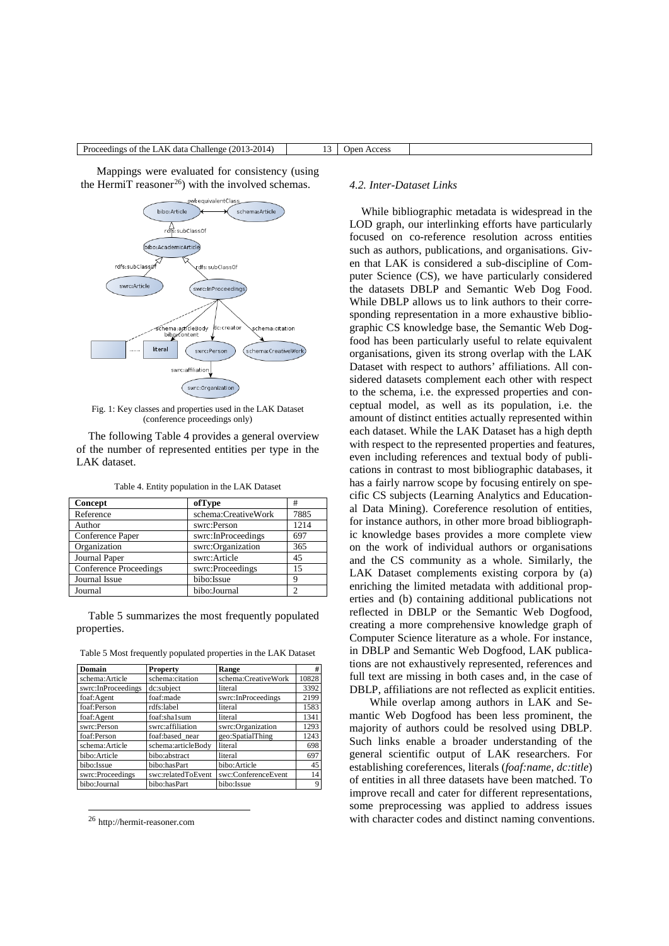Mappings were evaluated for consistency (using the HermiT reasoner<sup>26</sup>) with the involved schemas.



Fig. 1: Key classes and properties used in the LAK Dataset (conference proceedings only)

The following Table 4 provides a general overview of the number of represented entities per type in the LAK dataset.

| Concept                | ofType              | #    |
|------------------------|---------------------|------|
| Reference              | schema:CreativeWork | 7885 |
| Author                 | swrc:Person         | 1214 |
| Conference Paper       | swrc: InProceedings | 697  |
| Organization           | swrc:Organization   | 365  |
| Journal Paper          | swrc:Article        | 45   |
| Conference Proceedings | swrc:Proceedings    | 15   |
| Journal Issue          | bibo:Issue          | Q    |
| Journal                | bibo:Journal        | っ    |

Table 4. Entity population in the LAK Dataset

Table 5 summarizes the most frequently populated properties.

Table 5 Most frequently populated properties in the LAK Dataset

| <b>Domain</b>      | <b>Property</b>    | Range               | #     |
|--------------------|--------------------|---------------------|-------|
| schema:Article     | schema:citation    | schema:CreativeWork | 10828 |
| swrc:InProceedings | dc:subject         | literal             | 3392  |
| foaf:Agent         | foaf:made          | swrc:InProceedings  | 2199  |
| foaf:Person        | rdfs:label         | literal             | 1583  |
| foaf:Agent         | foaf:sha1sum       | literal             | 1341  |
| swrc:Person        | swrc:affiliation   | swrc:Organization   | 1293  |
| foaf:Person        | foaf:based near    | geo:SpatialThing    | 1243  |
| schema: Article    | schema:articleBody | literal             | 698   |
| bibo: Article      | bibo:abstract      | literal             | 697   |
| bibo:Issue         | bibo:hasPart       | bibo: Article       | 45    |
| swrc:Proceedings   | swc:relatedToEvent | swc:ConferenceEvent | 14    |
| bibo:Journal       | bibo:hasPart       | bibo:Issue          | 9     |

<span id="page-4-0"></span><sup>26</sup> http://hermit-reasoner.com

#### *4.2. Inter-Dataset Links*

While bibliographic metadata is widespread in the LOD graph, our interlinking efforts have particularly focused on co-reference resolution across entities such as authors, publications, and organisations. Given that LAK is considered a sub-discipline of Computer Science (CS), we have particularly considered the datasets DBLP and Semantic Web Dog Food. While DBLP allows us to link authors to their corresponding representation in a more exhaustive bibliographic CS knowledge base, the Semantic Web Dogfood has been particularly useful to relate equivalent organisations, given its strong overlap with the LAK Dataset with respect to authors' affiliations. All considered datasets complement each other with respect to the schema, i.e. the expressed properties and conceptual model, as well as its population, i.e. the amount of distinct entities actually represented within each dataset. While the LAK Dataset has a high depth with respect to the represented properties and features, even including references and textual body of publications in contrast to most bibliographic databases, it has a fairly narrow scope by focusing entirely on specific CS subjects (Learning Analytics and Educational Data Mining). Coreference resolution of entities, for instance authors, in other more broad bibliographic knowledge bases provides a more complete view on the work of individual authors or organisations and the CS community as a whole. Similarly, the LAK Dataset complements existing corpora by (a) enriching the limited metadata with additional properties and (b) containing additional publications not reflected in DBLP or the Semantic Web Dogfood, creating a more comprehensive knowledge graph of Computer Science literature as a whole. For instance, in DBLP and Semantic Web Dogfood, LAK publications are not exhaustively represented, references and full text are missing in both cases and, in the case of DBLP, affiliations are not reflected as explicit entities.

While overlap among authors in LAK and Semantic Web Dogfood has been less prominent, the majority of authors could be resolved using DBLP. Such links enable a broader understanding of the general scientific output of LAK researchers. For establishing coreferences, literals (*foaf:name, dc:title*) of entities in all three datasets have been matched. To improve recall and cater for different representations, some preprocessing was applied to address issues with character codes and distinct naming conventions.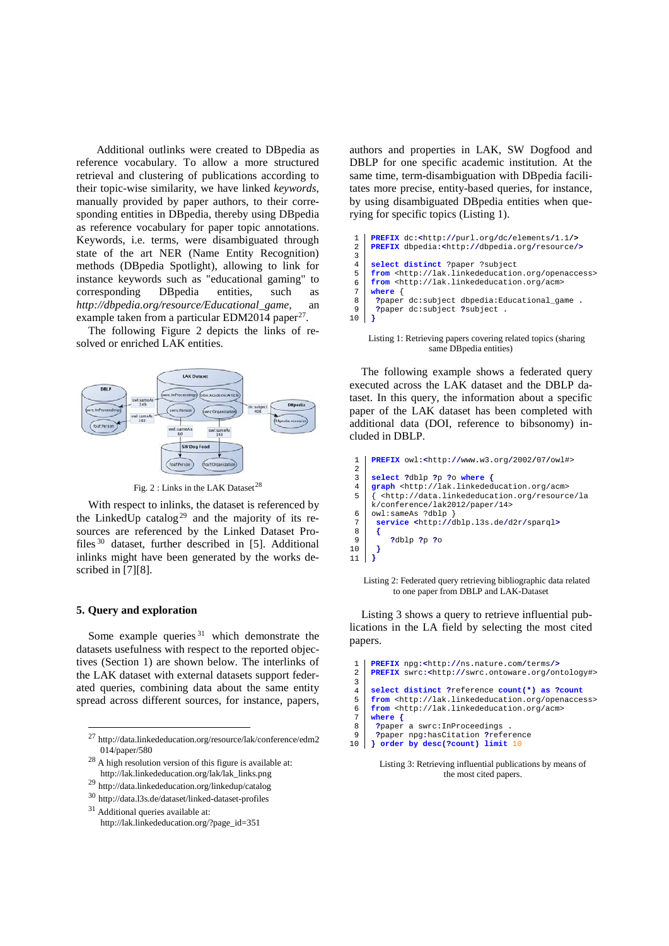Additional outlinks were created to DBpedia as reference vocabulary. To allow a more structured retrieval and clustering of publications according to their topic-wise similarity, we have linked *keywords*, manually provided by paper authors, to their corresponding entities in DBpedia, thereby using DBpedia as reference vocabulary for paper topic annotations. Keywords, i.e. terms, were disambiguated through state of the art NER (Name Entity Recognition) methods (DBpedia Spotlight), allowing to link for instance keywords such as "educational gaming" to corresponding DBpedia entities, such as *http://dbpedia.org/resource/Educational\_game*, an example taken from a particular EDM2014 paper<sup>[27](#page-5-0)</sup>.

The following Figure 2 depicts the links of resolved or enriched LAK entities.



Fig. 2 : Links in the LAK Dataset<sup>[28](#page-5-1)</sup>

With respect to inlinks, the dataset is referenced by the LinkedUp catalog<sup>[29](#page-5-2)</sup> and the majority of its resources are referenced by the Linked Dataset Profiles [30](#page-5-3) dataset, further described in [\[5\].](#page-8-4) Additional inlinks might have been generated by the works described i[n \[7\]\[8\].](#page-8-5)

# **5. Query and exploration**

-

Some example queries <sup>[31](#page-5-4)</sup> which demonstrate the datasets usefulness with respect to the reported objectives (Section [1\)](#page-0-4) are shown below. The interlinks of the LAK dataset with external datasets support federated queries, combining data about the same entity spread across different sources, for instance, papers,

<span id="page-5-1"></span><sup>28</sup> A high resolution version of this figure is available at: http://lak.linkededucation.org/lak/lak\_links.png

- <span id="page-5-3"></span><sup>30</sup> http://data.l3s.de/dataset/linked-dataset-profiles
- <span id="page-5-4"></span><sup>31</sup> Additional queries available at: http://lak.linkededucation.org/?page\_id=351

authors and properties in LAK, SW Dogfood and DBLP for one specific academic institution. At the same time, term-disambiguation with DBpedia facilitates more precise, entity-based queries, for instance, by using disambiguated DBpedia entities when querying for specific topics (Listing 1).

```
1
2
3
4
5
6
7
8
9
10
    PREFIX dc:<http://purl.org/dc/elements/1.1/>
    PREFIX dbpedia:<http://dbpedia.org/resource/>
    select distinct ?paper ?subject
    from <http://lak.linkededucation.org/openaccess>
    from <http://lak.linkededucation.org/acm> 
    where {
     ?paper dc:subject dbpedia:Educational_game .
     ?paper dc:subject ?subject .
    }
```
Listing 1: Retrieving papers covering related topics (sharing same DBpedia entities)

The following example shows a federated query executed across the LAK dataset and the DBLP dataset. In this query, the information about a specific paper of the LAK dataset has been completed with additional data (DOI, reference to bibsonomy) included in DBLP.

```
1
 2
3
 4
5
 6
7
8
9
10
11
    PREFIX owl:<http://www.w3.org/2002/07/owl#>
     select ?dblp ?p ?o where {
    graph <http://lak.linkededucation.org/acm> 
     { <http://data.linkededucation.org/resource/la
     k/conference/lak2012/paper/14> 
    owl:sameAs ?dblp }
     service <http://dblp.l3s.de/d2r/sparql>
      {
          ?dblp ?p ?o
     }
     }
```
Listing 2: Federated query retrieving bibliographic data related to one paper from DBLP and LAK-Dataset

Listing 3 shows a query to retrieve influential publications in the LA field by selecting the most cited papers.

```
1
2
3
4
5
6
7
8
9
10
    PREFIX npg:<http://ns.nature.com/terms/>
    PREFIX swrc:<http://swrc.ontoware.org/ontology#>
    select distinct ?reference count(*) as ?count
    from <http://lak.linkededucation.org/openaccess> 
    from <http://lak.linkededucation.org/acm> 
    where {
     ?paper a swrc:InProceedings .
    ?paper npg:hasCitation ?reference
      } order by desc(?count) limit 10
```
Listing 3: Retrieving influential publications by means of the most cited papers.

<span id="page-5-0"></span><sup>&</sup>lt;sup>27</sup> http://data.linkededucation.org/resource/lak/conference/edm2 014/paper/580

<span id="page-5-2"></span><sup>29</sup> http://data.linkededucation.org/linkedup/catalog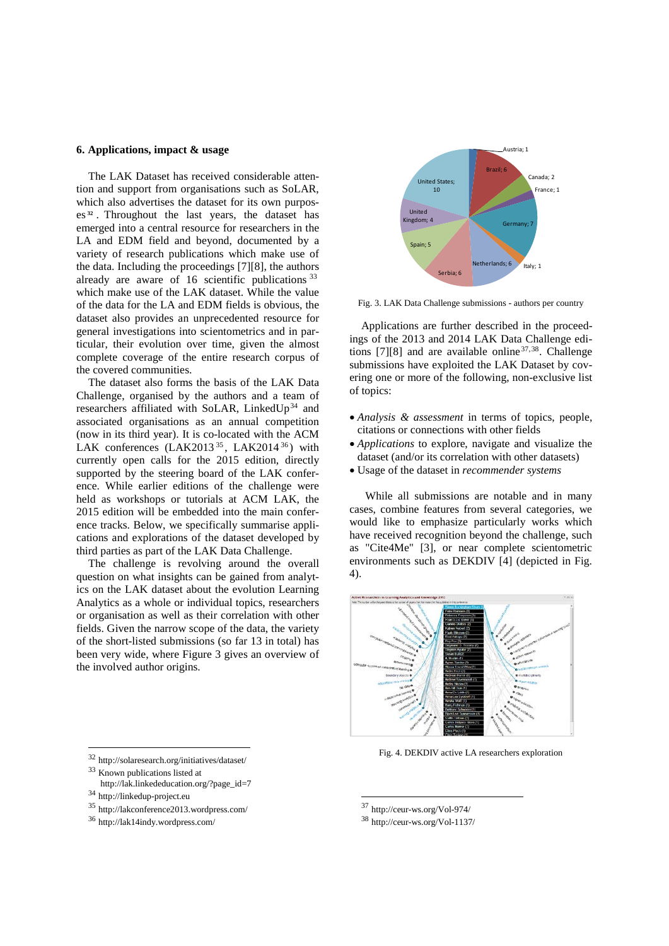## **6. Applications, impact & usage**

The LAK Dataset has received considerable attention and support from organisations such as SoLAR, which also advertises the dataset for its own purposes **[32](#page-6-0)** . Throughout the last years, the dataset has emerged into a central resource for researchers in the LA and EDM field and beyond, documented by a variety of research publications which make use of the data. Including the proceedings [\[7\]\[8\],](#page-8-5) the authors already are aware of  $16$  scientific publications  $33$ which make use of the LAK dataset. While the value of the data for the LA and EDM fields is obvious, the dataset also provides an unprecedented resource for general investigations into scientometrics and in particular, their evolution over time, given the almost complete coverage of the entire research corpus of the covered communities.

The dataset also forms the basis of the LAK Data Challenge, organised by the authors and a team of researchers affiliated with SoLAR, LinkedUp<sup>[34](#page-6-2)</sup> and associated organisations as an annual competition (now in its third year). It is co-located with the ACM LAK conferences  $(LAK2013^{35}, LAK2014^{36})$  $(LAK2013^{35}, LAK2014^{36})$  $(LAK2013^{35}, LAK2014^{36})$  $(LAK2013^{35}, LAK2014^{36})$  $(LAK2013^{35}, LAK2014^{36})$  with currently open calls for the 2015 edition, directly supported by the steering board of the LAK conference. While earlier editions of the challenge were held as workshops or tutorials at ACM LAK, the 2015 edition will be embedded into the main conference tracks. Below, we specifically summarise applications and explorations of the dataset developed by third parties as part of the LAK Data Challenge.

The challenge is revolving around the overall question on what insights can be gained from analytics on the LAK dataset about the evolution Learning Analytics as a whole or individual topics, researchers or organisation as well as their correlation with other fields. Given the narrow scope of the data, the variety of the short-listed submissions (so far 13 in total) has been very wide, where Figure 3 gives an overview of the involved author origins.

- <span id="page-6-0"></span><sup>32</sup> http://solaresearch.org/initiatives/dataset/
- <span id="page-6-1"></span><sup>33</sup> Known publications listed at http://lak.linkededucation.org/?page\_id=7
- <span id="page-6-2"></span> $34$  http://linkedup-project.eu

-

- <span id="page-6-3"></span><sup>35</sup> http://lakconference2013.wordpress.com/
- <span id="page-6-4"></span><sup>36</sup> http://lak14indy.wordpress.com/



Fig. 3. LAK Data Challenge submissions - authors per country

Applications are further described in the proceedings of the 2013 and 2014 LAK Data Challenge editions  $[7][8]$  and are available online  $37,38$  $37,38$ . Challenge submissions have exploited the LAK Dataset by covering one or more of the following, non-exclusive list of topics:

- *Analysis & assessment* in terms of topics, people, citations or connections with other fields
- *Applications* to explore, navigate and visualize the dataset (and/or its correlation with other datasets)
- Usage of the dataset in *recommender systems*

While all submissions are notable and in many cases, combine features from several categories, we would like to emphasize particularly works which have received recognition beyond the challenge, such as "Cite4Me" [\[3\],](#page-8-6) or near complete scientometric environments such as DEKDIV [\[4\]](#page-8-7) (depicted in Fig. 4).



Fig. 4. DEKDIV active LA researchers exploration

**.** 

<sup>37</sup> http://ceur-ws.org/Vol-974/

<sup>38</sup> http://ceur-ws.org/Vol-1137/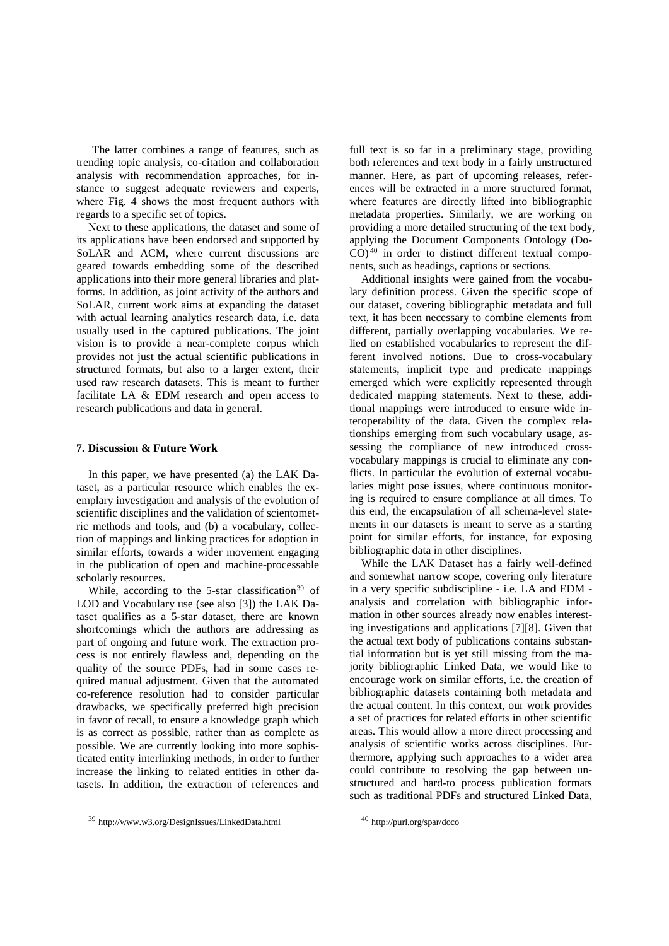The latter combines a range of features, such as trending topic analysis, co-citation and collaboration analysis with recommendation approaches, for instance to suggest adequate reviewers and experts, where Fig. 4 shows the most frequent authors with regards to a specific set of topics.

Next to these applications, the dataset and some of its applications have been endorsed and supported by SoLAR and ACM, where current discussions are geared towards embedding some of the described applications into their more general libraries and platforms. In addition, as joint activity of the authors and SoLAR, current work aims at expanding the dataset with actual learning analytics research data, i.e. data usually used in the captured publications. The joint vision is to provide a near-complete corpus which provides not just the actual scientific publications in structured formats, but also to a larger extent, their used raw research datasets. This is meant to further facilitate LA & EDM research and open access to research publications and data in general.

## **7. Discussion & Future Work**

In this paper, we have presented (a) the LAK Dataset, as a particular resource which enables the exemplary investigation and analysis of the evolution of scientific disciplines and the validation of scientometric methods and tools, and (b) a vocabulary, collection of mappings and linking practices for adoption in similar efforts, towards a wider movement engaging in the publication of open and machine-processable scholarly resources.

While, according to the 5-star classification<sup>[39](#page-7-0)</sup> of LOD and Vocabulary use (see also [\[3\]\)](#page-8-8) the LAK Dataset qualifies as a 5-star dataset, there are known shortcomings which the authors are addressing as part of ongoing and future work. The extraction process is not entirely flawless and, depending on the quality of the source PDFs, had in some cases required manual adjustment. Given that the automated co-reference resolution had to consider particular drawbacks, we specifically preferred high precision in favor of recall, to ensure a knowledge graph which is as correct as possible, rather than as complete as possible. We are currently looking into more sophisticated entity interlinking methods, in order to further increase the linking to related entities in other datasets. In addition, the extraction of references and

-

full text is so far in a preliminary stage, providing both references and text body in a fairly unstructured manner. Here, as part of upcoming releases, references will be extracted in a more structured format, where features are directly lifted into bibliographic metadata properties. Similarly, we are working on providing a more detailed structuring of the text body, applying the Document Components Ontology (Do-CO) [40](#page-7-0) in order to distinct different textual components, such as headings, captions or sections.

Additional insights were gained from the vocabulary definition process. Given the specific scope of our dataset, covering bibliographic metadata and full text, it has been necessary to combine elements from different, partially overlapping vocabularies. We relied on established vocabularies to represent the different involved notions. Due to cross-vocabulary statements, implicit type and predicate mappings emerged which were explicitly represented through dedicated mapping statements. Next to these, additional mappings were introduced to ensure wide interoperability of the data. Given the complex relationships emerging from such vocabulary usage, assessing the compliance of new introduced crossvocabulary mappings is crucial to eliminate any conflicts. In particular the evolution of external vocabularies might pose issues, where continuous monitoring is required to ensure compliance at all times. To this end, the encapsulation of all schema-level statements in our datasets is meant to serve as a starting point for similar efforts, for instance, for exposing bibliographic data in other disciplines.

While the LAK Dataset has a fairly well-defined and somewhat narrow scope, covering only literature in a very specific subdiscipline - i.e. LA and EDM analysis and correlation with bibliographic information in other sources already now enables interesting investigations and applications [\[7\]\[8\].](#page-8-5) Given that the actual text body of publications contains substantial information but is yet still missing from the majority bibliographic Linked Data, we would like to encourage work on similar efforts, i.e. the creation of bibliographic datasets containing both metadata and the actual content. In this context, our work provides a set of practices for related efforts in other scientific areas. This would allow a more direct processing and analysis of scientific works across disciplines. Furthermore, applying such approaches to a wider area could contribute to resolving the gap between unstructured and hard-to process publication formats such as traditional PDFs and structured Linked Data,

<span id="page-7-0"></span><sup>39</sup> http://www.w3.org/DesignIssues/LinkedData.html

<sup>40</sup> http://purl.org/spar/doco